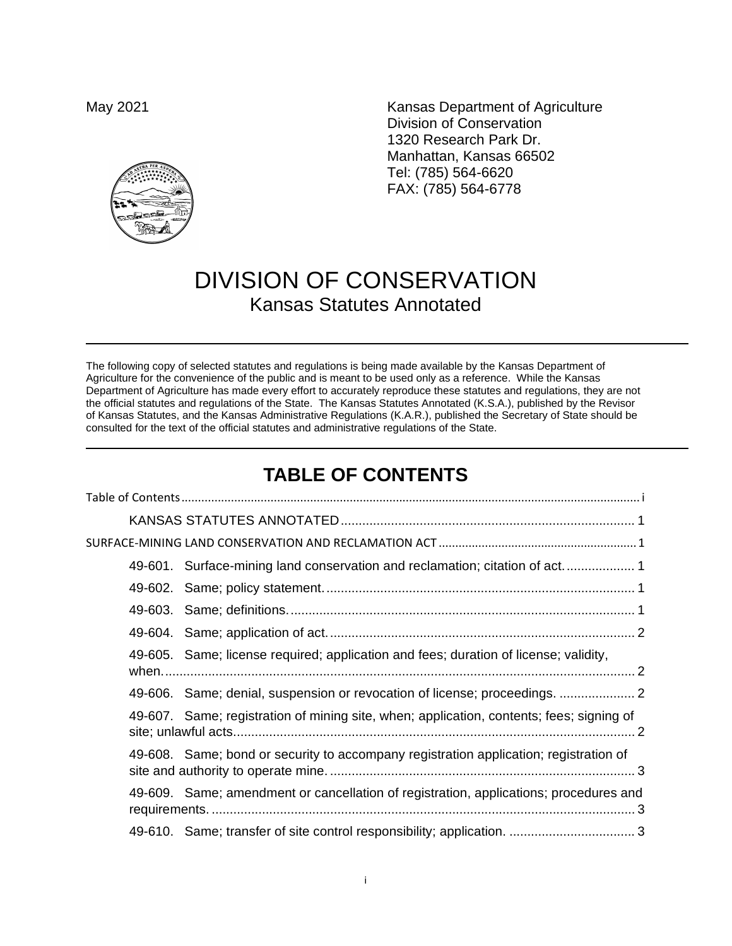May 2021 May 2021 **Kansas Department of Agriculture** Division of Conservation 1320 Research Park Dr. Manhattan, Kansas 66502 Tel: (785) 564-6620 FAX: (785) 564-6778

# DIVISION OF CONSERVATION Kansas Statutes Annotated

The following copy of selected statutes and regulations is being made available by the Kansas Department of Agriculture for the convenience of the public and is meant to be used only as a reference. While the Kansas Department of Agriculture has made every effort to accurately reproduce these statutes and regulations, they are not the official statutes and regulations of the State. The Kansas Statutes Annotated (K.S.A.), published by the Revisor of Kansas Statutes, and the Kansas Administrative Regulations (K.A.R.), published the Secretary of State should be consulted for the text of the official statutes and administrative regulations of the State.

## **TABLE OF CONTENTS**

<span id="page-0-0"></span>

| 49-601. Surface-mining land conservation and reclamation; citation of act                |
|------------------------------------------------------------------------------------------|
|                                                                                          |
|                                                                                          |
|                                                                                          |
| 49-605. Same; license required; application and fees; duration of license; validity,     |
| 49-606. Same; denial, suspension or revocation of license; proceedings.                  |
| 49-607. Same; registration of mining site, when; application, contents; fees; signing of |
| 49-608. Same; bond or security to accompany registration application; registration of    |
| 49-609. Same; amendment or cancellation of registration, applications; procedures and    |
|                                                                                          |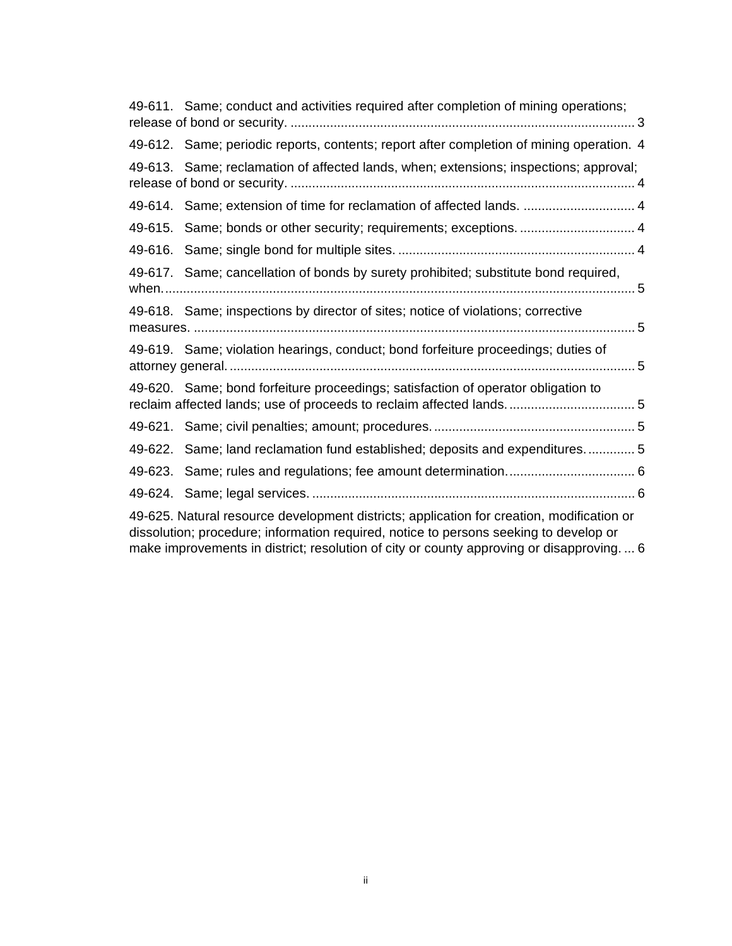|                                                                                                                                                                                                                                                                               | 49-611. Same; conduct and activities required after completion of mining operations;                                                                     |  |
|-------------------------------------------------------------------------------------------------------------------------------------------------------------------------------------------------------------------------------------------------------------------------------|----------------------------------------------------------------------------------------------------------------------------------------------------------|--|
|                                                                                                                                                                                                                                                                               | 49-612. Same; periodic reports, contents; report after completion of mining operation. 4                                                                 |  |
|                                                                                                                                                                                                                                                                               | 49-613. Same; reclamation of affected lands, when; extensions; inspections; approval;                                                                    |  |
|                                                                                                                                                                                                                                                                               | 49-614. Same; extension of time for reclamation of affected lands.  4                                                                                    |  |
|                                                                                                                                                                                                                                                                               | 49-615. Same; bonds or other security; requirements; exceptions 4                                                                                        |  |
|                                                                                                                                                                                                                                                                               |                                                                                                                                                          |  |
|                                                                                                                                                                                                                                                                               | 49-617. Same; cancellation of bonds by surety prohibited; substitute bond required,                                                                      |  |
|                                                                                                                                                                                                                                                                               | 49-618. Same; inspections by director of sites; notice of violations; corrective                                                                         |  |
|                                                                                                                                                                                                                                                                               | 49-619. Same; violation hearings, conduct; bond forfeiture proceedings; duties of                                                                        |  |
|                                                                                                                                                                                                                                                                               | 49-620. Same; bond forfeiture proceedings; satisfaction of operator obligation to<br>reclaim affected lands; use of proceeds to reclaim affected lands 5 |  |
|                                                                                                                                                                                                                                                                               |                                                                                                                                                          |  |
|                                                                                                                                                                                                                                                                               | 49-622. Same; land reclamation fund established; deposits and expenditures 5                                                                             |  |
|                                                                                                                                                                                                                                                                               |                                                                                                                                                          |  |
|                                                                                                                                                                                                                                                                               |                                                                                                                                                          |  |
| 49-625. Natural resource development districts; application for creation, modification or<br>dissolution; procedure; information required, notice to persons seeking to develop or<br>make improvements in district; resolution of city or county approving or disapproving 6 |                                                                                                                                                          |  |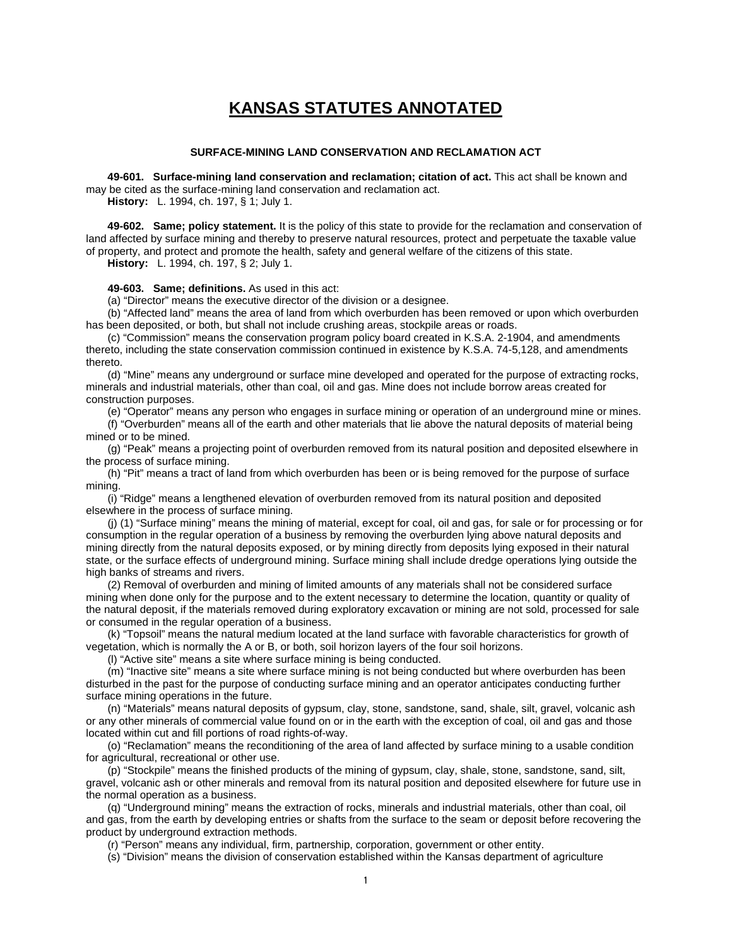### **KANSAS STATUTES ANNOTATED**

### **SURFACE-MINING LAND CONSERVATION AND RECLAMATION ACT**

<span id="page-2-2"></span><span id="page-2-1"></span><span id="page-2-0"></span>**49-601. Surface-mining land conservation and reclamation; citation of act.** This act shall be known and may be cited as the surface-mining land conservation and reclamation act.

**History:** L. 1994, ch. 197, § 1; July 1.

<span id="page-2-3"></span>**49-602. Same; policy statement.** It is the policy of this state to provide for the reclamation and conservation of land affected by surface mining and thereby to preserve natural resources, protect and perpetuate the taxable value of property, and protect and promote the health, safety and general welfare of the citizens of this state. **History:** L. 1994, ch. 197, § 2; July 1.

### <span id="page-2-4"></span>**49-603. Same; definitions.** As used in this act:

(a) "Director" means the executive director of the division or a designee.

(b) "Affected land" means the area of land from which overburden has been removed or upon which overburden has been deposited, or both, but shall not include crushing areas, stockpile areas or roads.

(c) "Commission" means the conservation program policy board created in K.S.A. 2-1904, and amendments thereto, including the state conservation commission continued in existence by K.S.A. 74-5,128, and amendments thereto.

(d) "Mine" means any underground or surface mine developed and operated for the purpose of extracting rocks, minerals and industrial materials, other than coal, oil and gas. Mine does not include borrow areas created for construction purposes.

(e) "Operator" means any person who engages in surface mining or operation of an underground mine or mines.

(f) "Overburden" means all of the earth and other materials that lie above the natural deposits of material being mined or to be mined.

(g) "Peak" means a projecting point of overburden removed from its natural position and deposited elsewhere in the process of surface mining.

(h) "Pit" means a tract of land from which overburden has been or is being removed for the purpose of surface mining.

(i) "Ridge" means a lengthened elevation of overburden removed from its natural position and deposited elsewhere in the process of surface mining.

(j) (1) "Surface mining" means the mining of material, except for coal, oil and gas, for sale or for processing or for consumption in the regular operation of a business by removing the overburden lying above natural deposits and mining directly from the natural deposits exposed, or by mining directly from deposits lying exposed in their natural state, or the surface effects of underground mining. Surface mining shall include dredge operations lying outside the high banks of streams and rivers.

(2) Removal of overburden and mining of limited amounts of any materials shall not be considered surface mining when done only for the purpose and to the extent necessary to determine the location, quantity or quality of the natural deposit, if the materials removed during exploratory excavation or mining are not sold, processed for sale or consumed in the regular operation of a business.

(k) "Topsoil" means the natural medium located at the land surface with favorable characteristics for growth of vegetation, which is normally the A or B, or both, soil horizon layers of the four soil horizons.

(l) "Active site" means a site where surface mining is being conducted.

(m) "Inactive site" means a site where surface mining is not being conducted but where overburden has been disturbed in the past for the purpose of conducting surface mining and an operator anticipates conducting further surface mining operations in the future.

(n) "Materials" means natural deposits of gypsum, clay, stone, sandstone, sand, shale, silt, gravel, volcanic ash or any other minerals of commercial value found on or in the earth with the exception of coal, oil and gas and those located within cut and fill portions of road rights-of-way.

(o) "Reclamation" means the reconditioning of the area of land affected by surface mining to a usable condition for agricultural, recreational or other use.

(p) "Stockpile" means the finished products of the mining of gypsum, clay, shale, stone, sandstone, sand, silt, gravel, volcanic ash or other minerals and removal from its natural position and deposited elsewhere for future use in the normal operation as a business.

(q) "Underground mining" means the extraction of rocks, minerals and industrial materials, other than coal, oil and gas, from the earth by developing entries or shafts from the surface to the seam or deposit before recovering the product by underground extraction methods.

(r) "Person" means any individual, firm, partnership, corporation, government or other entity.

(s) "Division" means the division of conservation established within the Kansas department of agriculture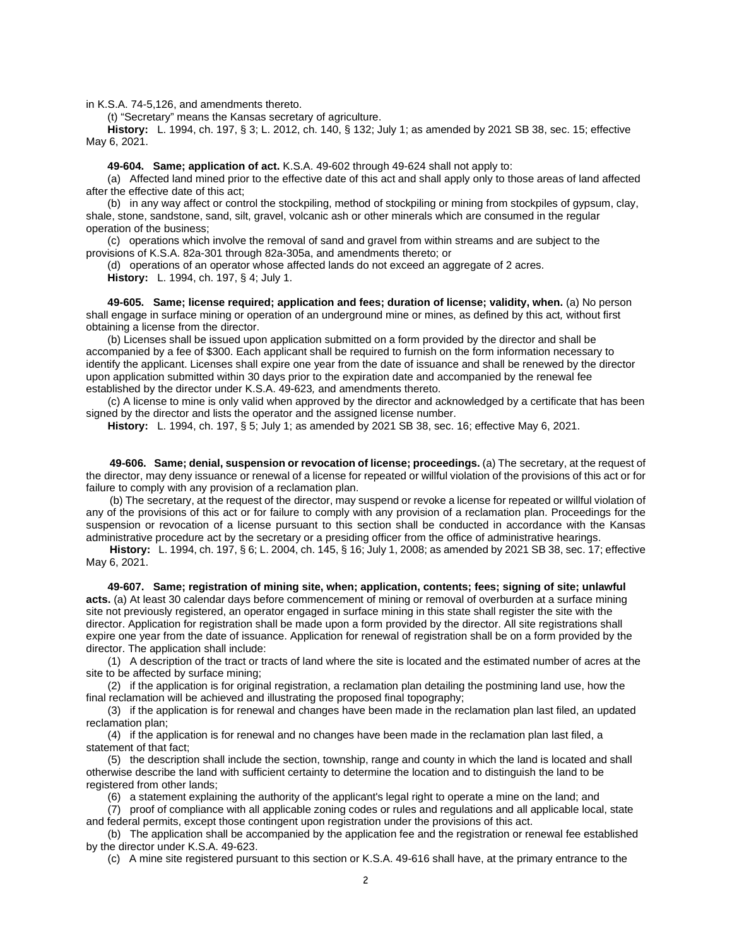in K.S.A. 74-5,126, and amendments thereto.

(t) "Secretary" means the Kansas secretary of agriculture.

**History:** L. 1994, ch. 197, § 3; L. 2012, ch. 140, § 132; July 1; as amended by 2021 SB 38, sec. 15; effective May 6, 2021.

**49-604. Same; application of act.** K.S.A. 49-602 through 49-624 shall not apply to:

<span id="page-3-0"></span>(a) Affected land mined prior to the effective date of this act and shall apply only to those areas of land affected after the effective date of this act;

(b) in any way affect or control the stockpiling, method of stockpiling or mining from stockpiles of gypsum, clay, shale, stone, sandstone, sand, silt, gravel, volcanic ash or other minerals which are consumed in the regular operation of the business;

(c) operations which involve the removal of sand and gravel from within streams and are subject to the provisions of K.S.A. 82a-301 through 82a-305a, and amendments thereto; or

(d) operations of an operator whose affected lands do not exceed an aggregate of 2 acres. **History:** L. 1994, ch. 197, § 4; July 1.

<span id="page-3-1"></span>**49-605. Same; license required; application and fees; duration of license; validity, when.** (a) No person shall engage in surface mining or operation of an underground mine or mines, as defined by this act*,* without first obtaining a license from the director.

(b) Licenses shall be issued upon application submitted on a form provided by the director and shall be accompanied by a fee of \$300. Each applicant shall be required to furnish on the form information necessary to identify the applicant. Licenses shall expire one year from the date of issuance and shall be renewed by the director upon application submitted within 30 days prior to the expiration date and accompanied by the renewal fee established by the director under K.S.A. 49-623*,* and amendments thereto.

(c) A license to mine is only valid when approved by the director and acknowledged by a certificate that has been signed by the director and lists the operator and the assigned license number.

**History:** L. 1994, ch. 197, § 5; July 1; as amended by 2021 SB 38, sec. 16; effective May 6, 2021.

<span id="page-3-2"></span>**49-606. Same; denial, suspension or revocation of license; proceedings.** (a) The secretary, at the request of the director, may deny issuance or renewal of a license for repeated or willful violation of the provisions of this act or for failure to comply with any provision of a reclamation plan.

(b) The secretary, at the request of the director, may suspend or revoke a license for repeated or willful violation of any of the provisions of this act or for failure to comply with any provision of a reclamation plan. Proceedings for the suspension or revocation of a license pursuant to this section shall be conducted in accordance with the Kansas administrative procedure act by the secretary or a presiding officer from the office of administrative hearings.

**History:** L. 1994, ch. 197, § 6; L. 2004, ch. 145, § 16; July 1, 2008; as amended by 2021 SB 38, sec. 17; effective May 6, 2021.

<span id="page-3-3"></span>**49-607. Same; registration of mining site, when; application, contents; fees; signing of site; unlawful acts.** (a) At least 30 calendar days before commencement of mining or removal of overburden at a surface mining site not previously registered, an operator engaged in surface mining in this state shall register the site with the director. Application for registration shall be made upon a form provided by the director. All site registrations shall expire one year from the date of issuance. Application for renewal of registration shall be on a form provided by the director. The application shall include:

(1) A description of the tract or tracts of land where the site is located and the estimated number of acres at the site to be affected by surface mining;

(2) if the application is for original registration, a reclamation plan detailing the postmining land use, how the final reclamation will be achieved and illustrating the proposed final topography;

(3) if the application is for renewal and changes have been made in the reclamation plan last filed, an updated reclamation plan;

(4) if the application is for renewal and no changes have been made in the reclamation plan last filed, a statement of that fact;

(5) the description shall include the section, township, range and county in which the land is located and shall otherwise describe the land with sufficient certainty to determine the location and to distinguish the land to be registered from other lands:

(6) a statement explaining the authority of the applicant's legal right to operate a mine on the land; and

(7) proof of compliance with all applicable zoning codes or rules and regulations and all applicable local, state and federal permits, except those contingent upon registration under the provisions of this act.

(b) The application shall be accompanied by the application fee and the registration or renewal fee established by the director under K.S.A. 49-623.

(c) A mine site registered pursuant to this section or K.S.A. 49-616 shall have, at the primary entrance to the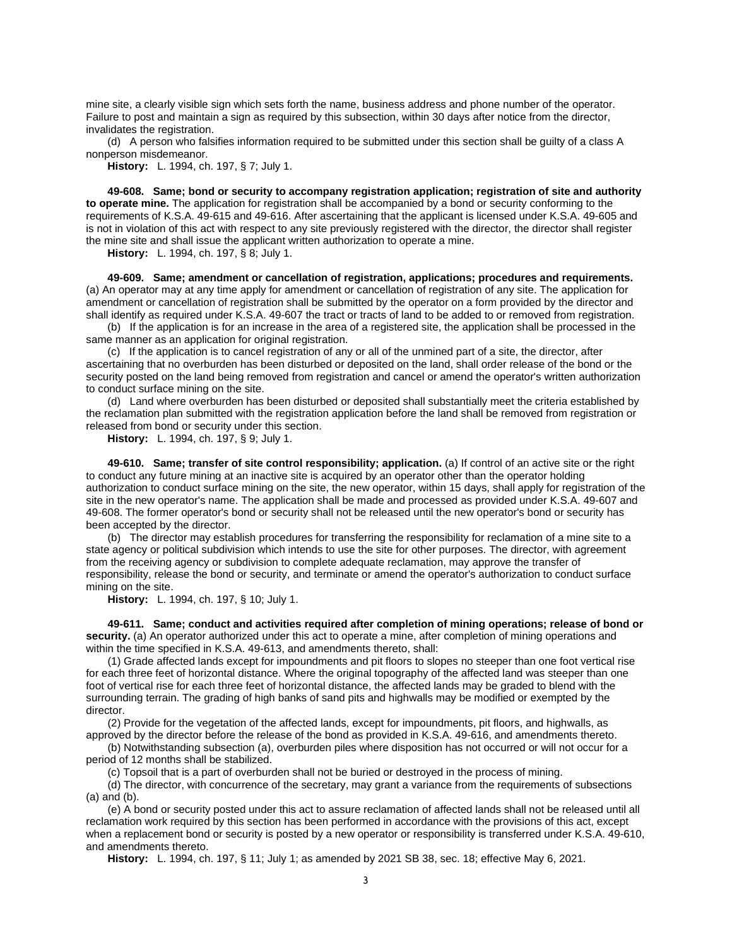mine site, a clearly visible sign which sets forth the name, business address and phone number of the operator. Failure to post and maintain a sign as required by this subsection, within 30 days after notice from the director, invalidates the registration.

(d) A person who falsifies information required to be submitted under this section shall be guilty of a class A nonperson misdemeanor.

**History:** L. 1994, ch. 197, § 7; July 1.

<span id="page-4-0"></span>**49-608. Same; bond or security to accompany registration application; registration of site and authority to operate mine.** The application for registration shall be accompanied by a bond or security conforming to the requirements of K.S.A. 49-615 and 49-616. After ascertaining that the applicant is licensed under K.S.A. 49-605 and is not in violation of this act with respect to any site previously registered with the director, the director shall register the mine site and shall issue the applicant written authorization to operate a mine.

**History:** L. 1994, ch. 197, § 8; July 1.

<span id="page-4-1"></span>**49-609. Same; amendment or cancellation of registration, applications; procedures and requirements.** (a) An operator may at any time apply for amendment or cancellation of registration of any site. The application for amendment or cancellation of registration shall be submitted by the operator on a form provided by the director and shall identify as required under K.S.A. 49-607 the tract or tracts of land to be added to or removed from registration.

(b) If the application is for an increase in the area of a registered site, the application shall be processed in the same manner as an application for original registration.

(c) If the application is to cancel registration of any or all of the unmined part of a site, the director, after ascertaining that no overburden has been disturbed or deposited on the land, shall order release of the bond or the security posted on the land being removed from registration and cancel or amend the operator's written authorization to conduct surface mining on the site.

(d) Land where overburden has been disturbed or deposited shall substantially meet the criteria established by the reclamation plan submitted with the registration application before the land shall be removed from registration or released from bond or security under this section.

**History:** L. 1994, ch. 197, § 9; July 1.

<span id="page-4-2"></span>**49-610. Same; transfer of site control responsibility; application.** (a) If control of an active site or the right to conduct any future mining at an inactive site is acquired by an operator other than the operator holding authorization to conduct surface mining on the site, the new operator, within 15 days, shall apply for registration of the site in the new operator's name. The application shall be made and processed as provided under K.S.A. 49-607 and 49-608. The former operator's bond or security shall not be released until the new operator's bond or security has been accepted by the director.

(b) The director may establish procedures for transferring the responsibility for reclamation of a mine site to a state agency or political subdivision which intends to use the site for other purposes. The director, with agreement from the receiving agency or subdivision to complete adequate reclamation, may approve the transfer of responsibility, release the bond or security, and terminate or amend the operator's authorization to conduct surface mining on the site.

**History:** L. 1994, ch. 197, § 10; July 1.

<span id="page-4-3"></span>**49-611. Same; conduct and activities required after completion of mining operations; release of bond or security.** (a) An operator authorized under this act to operate a mine, after completion of mining operations and within the time specified in K.S.A. 49-613, and amendments thereto, shall:

(1) Grade affected lands except for impoundments and pit floors to slopes no steeper than one foot vertical rise for each three feet of horizontal distance. Where the original topography of the affected land was steeper than one foot of vertical rise for each three feet of horizontal distance, the affected lands may be graded to blend with the surrounding terrain. The grading of high banks of sand pits and highwalls may be modified or exempted by the director.

(2) Provide for the vegetation of the affected lands, except for impoundments, pit floors, and highwalls, as approved by the director before the release of the bond as provided in K.S.A. 49-616, and amendments thereto.

(b) Notwithstanding subsection (a), overburden piles where disposition has not occurred or will not occur for a period of 12 months shall be stabilized.

(c) Topsoil that is a part of overburden shall not be buried or destroyed in the process of mining.

(d) The director, with concurrence of the secretary, may grant a variance from the requirements of subsections (a) and (b).

(e) A bond or security posted under this act to assure reclamation of affected lands shall not be released until all reclamation work required by this section has been performed in accordance with the provisions of this act, except when a replacement bond or security is posted by a new operator or responsibility is transferred under K.S.A. 49-610, and amendments thereto.

**History:** L. 1994, ch. 197, § 11; July 1; as amended by 2021 SB 38, sec. 18; effective May 6, 2021.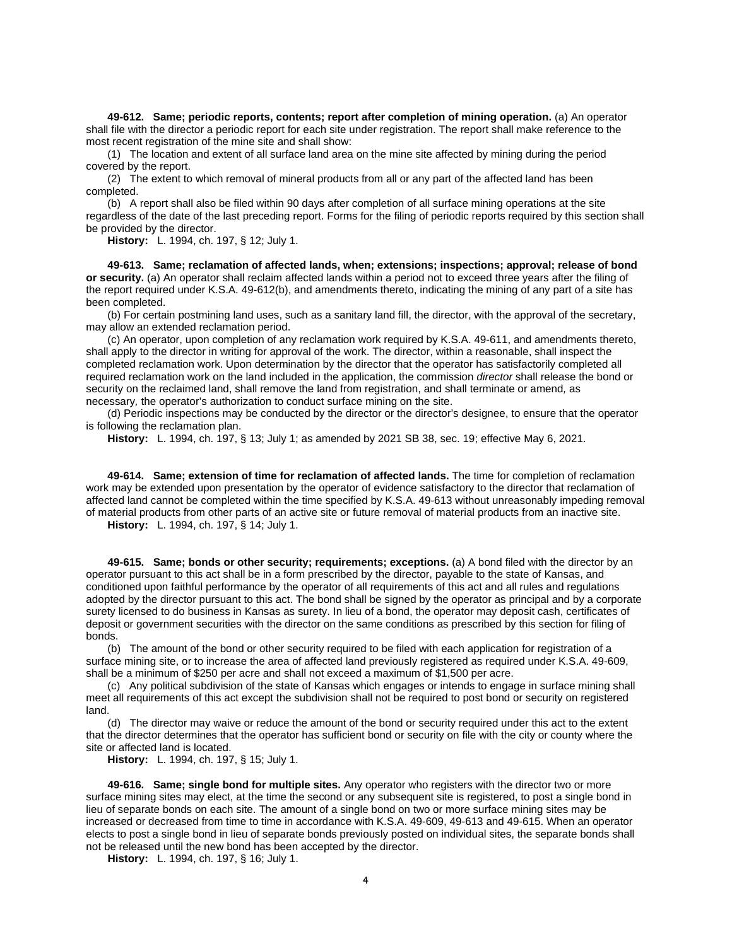<span id="page-5-0"></span>**49-612. Same; periodic reports, contents; report after completion of mining operation.** (a) An operator shall file with the director a periodic report for each site under registration. The report shall make reference to the most recent registration of the mine site and shall show:

(1) The location and extent of all surface land area on the mine site affected by mining during the period covered by the report.

(2) The extent to which removal of mineral products from all or any part of the affected land has been completed.

(b) A report shall also be filed within 90 days after completion of all surface mining operations at the site regardless of the date of the last preceding report. Forms for the filing of periodic reports required by this section shall be provided by the director.

**History:** L. 1994, ch. 197, § 12; July 1.

<span id="page-5-1"></span>**49-613. Same; reclamation of affected lands, when; extensions; inspections; approval; release of bond or security.** (a) An operator shall reclaim affected lands within a period not to exceed three years after the filing of the report required under K.S.A. 49-612(b), and amendments thereto, indicating the mining of any part of a site has been completed.

(b) For certain postmining land uses, such as a sanitary land fill, the director, with the approval of the secretary, may allow an extended reclamation period.

(c) An operator, upon completion of any reclamation work required by K.S.A. 49-611, and amendments thereto, shall apply to the director in writing for approval of the work. The director, within a reasonable, shall inspect the completed reclamation work. Upon determination by the director that the operator has satisfactorily completed all required reclamation work on the land included in the application, the commission *director* shall release the bond or security on the reclaimed land, shall remove the land from registration, and shall terminate or amend*,* as necessary*,* the operator's authorization to conduct surface mining on the site.

(d) Periodic inspections may be conducted by the director or the director's designee, to ensure that the operator is following the reclamation plan.

**History:** L. 1994, ch. 197, § 13; July 1; as amended by 2021 SB 38, sec. 19; effective May 6, 2021.

<span id="page-5-2"></span>**49-614. Same; extension of time for reclamation of affected lands.** The time for completion of reclamation work may be extended upon presentation by the operator of evidence satisfactory to the director that reclamation of affected land cannot be completed within the time specified by K.S.A. 49-613 without unreasonably impeding removal of material products from other parts of an active site or future removal of material products from an inactive site.

**History:** L. 1994, ch. 197, § 14; July 1.

<span id="page-5-3"></span>**49-615. Same; bonds or other security; requirements; exceptions.** (a) A bond filed with the director by an operator pursuant to this act shall be in a form prescribed by the director, payable to the state of Kansas, and conditioned upon faithful performance by the operator of all requirements of this act and all rules and regulations adopted by the director pursuant to this act. The bond shall be signed by the operator as principal and by a corporate surety licensed to do business in Kansas as surety. In lieu of a bond, the operator may deposit cash, certificates of deposit or government securities with the director on the same conditions as prescribed by this section for filing of bonds.

(b) The amount of the bond or other security required to be filed with each application for registration of a surface mining site, or to increase the area of affected land previously registered as required under K.S.A. 49-609, shall be a minimum of \$250 per acre and shall not exceed a maximum of \$1,500 per acre.

(c) Any political subdivision of the state of Kansas which engages or intends to engage in surface mining shall meet all requirements of this act except the subdivision shall not be required to post bond or security on registered land.

(d) The director may waive or reduce the amount of the bond or security required under this act to the extent that the director determines that the operator has sufficient bond or security on file with the city or county where the site or affected land is located.

**History:** L. 1994, ch. 197, § 15; July 1.

<span id="page-5-4"></span>**49-616. Same; single bond for multiple sites.** Any operator who registers with the director two or more surface mining sites may elect, at the time the second or any subsequent site is registered, to post a single bond in lieu of separate bonds on each site. The amount of a single bond on two or more surface mining sites may be increased or decreased from time to time in accordance with K.S.A. 49-609, 49-613 and 49-615. When an operator elects to post a single bond in lieu of separate bonds previously posted on individual sites, the separate bonds shall not be released until the new bond has been accepted by the director.

**History:** L. 1994, ch. 197, § 16; July 1.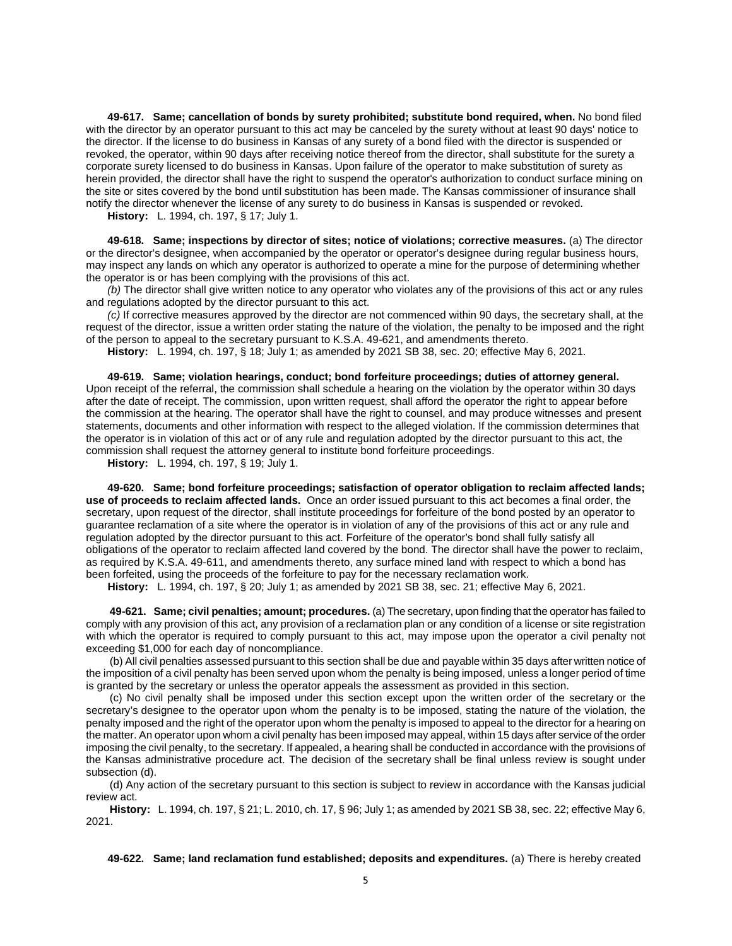<span id="page-6-0"></span>**49-617. Same; cancellation of bonds by surety prohibited; substitute bond required, when.** No bond filed with the director by an operator pursuant to this act may be canceled by the surety without at least 90 days' notice to the director. If the license to do business in Kansas of any surety of a bond filed with the director is suspended or revoked, the operator, within 90 days after receiving notice thereof from the director, shall substitute for the surety a corporate surety licensed to do business in Kansas. Upon failure of the operator to make substitution of surety as herein provided, the director shall have the right to suspend the operator's authorization to conduct surface mining on the site or sites covered by the bond until substitution has been made. The Kansas commissioner of insurance shall notify the director whenever the license of any surety to do business in Kansas is suspended or revoked.

**History:** L. 1994, ch. 197, § 17; July 1.

<span id="page-6-1"></span>**49-618. Same; inspections by director of sites; notice of violations; corrective measures.** (a) The director or the director's designee, when accompanied by the operator or operator's designee during regular business hours, may inspect any lands on which any operator is authorized to operate a mine for the purpose of determining whether the operator is or has been complying with the provisions of this act.

*(b)* The director shall give written notice to any operator who violates any of the provisions of this act or any rules and regulations adopted by the director pursuant to this act.

*(c)* If corrective measures approved by the director are not commenced within 90 days, the secretary shall, at the request of the director, issue a written order stating the nature of the violation, the penalty to be imposed and the right of the person to appeal to the secretary pursuant to K.S.A. 49-621, and amendments thereto.

**History:** L. 1994, ch. 197, § 18; July 1; as amended by 2021 SB 38, sec. 20; effective May 6, 2021.

<span id="page-6-2"></span>**49-619. Same; violation hearings, conduct; bond forfeiture proceedings; duties of attorney general.** Upon receipt of the referral, the commission shall schedule a hearing on the violation by the operator within 30 days after the date of receipt. The commission, upon written request, shall afford the operator the right to appear before the commission at the hearing. The operator shall have the right to counsel, and may produce witnesses and present statements, documents and other information with respect to the alleged violation. If the commission determines that the operator is in violation of this act or of any rule and regulation adopted by the director pursuant to this act, the commission shall request the attorney general to institute bond forfeiture proceedings.

**History:** L. 1994, ch. 197, § 19; July 1.

<span id="page-6-3"></span>**49-620. Same; bond forfeiture proceedings; satisfaction of operator obligation to reclaim affected lands; use of proceeds to reclaim affected lands.** Once an order issued pursuant to this act becomes a final order, the secretary, upon request of the director, shall institute proceedings for forfeiture of the bond posted by an operator to guarantee reclamation of a site where the operator is in violation of any of the provisions of this act or any rule and regulation adopted by the director pursuant to this act. Forfeiture of the operator's bond shall fully satisfy all obligations of the operator to reclaim affected land covered by the bond. The director shall have the power to reclaim, as required by K.S.A. 49-611, and amendments thereto, any surface mined land with respect to which a bond has been forfeited, using the proceeds of the forfeiture to pay for the necessary reclamation work.

**History:** L. 1994, ch. 197, § 20; July 1; as amended by 2021 SB 38, sec. 21; effective May 6, 2021.

<span id="page-6-4"></span>**49-621. Same; civil penalties; amount; procedures.** (a) The secretary, upon finding that the operator has failed to comply with any provision of this act, any provision of a reclamation plan or any condition of a license or site registration with which the operator is required to comply pursuant to this act, may impose upon the operator a civil penalty not exceeding \$1,000 for each day of noncompliance.

(b) All civil penalties assessed pursuant to this section shall be due and payable within 35 days after written notice of the imposition of a civil penalty has been served upon whom the penalty is being imposed, unless a longer period of time is granted by the secretary or unless the operator appeals the assessment as provided in this section.

(c) No civil penalty shall be imposed under this section except upon the written order of the secretary or the secretary's designee to the operator upon whom the penalty is to be imposed, stating the nature of the violation, the penalty imposed and the right of the operator upon whom the penalty is imposed to appeal to the director for a hearing on the matter. An operator upon whom a civil penalty has been imposed may appeal, within 15 days after service of the order imposing the civil penalty, to the secretary. If appealed, a hearing shall be conducted in accordance with the provisions of the Kansas administrative procedure act. The decision of the secretary shall be final unless review is sought under subsection (d).

(d) Any action of the secretary pursuant to this section is subject to review in accordance with the Kansas judicial review act.

**History:** L. 1994, ch. 197, § 21; L. 2010, ch. 17, § 96; July 1; as amended by 2021 SB 38, sec. 22; effective May 6, 2021.

<span id="page-6-5"></span>**49-622. Same; land reclamation fund established; deposits and expenditures.** (a) There is hereby created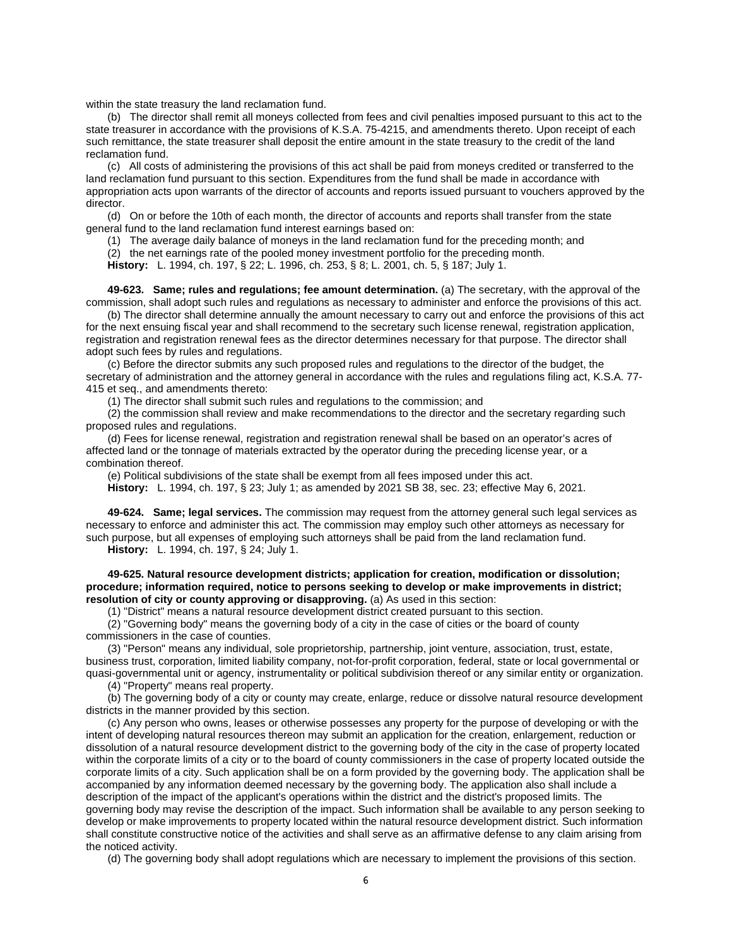within the state treasury the land reclamation fund.

(b) The director shall remit all moneys collected from fees and civil penalties imposed pursuant to this act to the state treasurer in accordance with the provisions of K.S.A. 75-4215, and amendments thereto. Upon receipt of each such remittance, the state treasurer shall deposit the entire amount in the state treasury to the credit of the land reclamation fund.

(c) All costs of administering the provisions of this act shall be paid from moneys credited or transferred to the land reclamation fund pursuant to this section. Expenditures from the fund shall be made in accordance with appropriation acts upon warrants of the director of accounts and reports issued pursuant to vouchers approved by the director.

(d) On or before the 10th of each month, the director of accounts and reports shall transfer from the state general fund to the land reclamation fund interest earnings based on:

(1) The average daily balance of moneys in the land reclamation fund for the preceding month; and

(2) the net earnings rate of the pooled money investment portfolio for the preceding month. **History:** L. 1994, ch. 197, § 22; L. 1996, ch. 253, § 8; L. 2001, ch. 5, § 187; July 1.

<span id="page-7-0"></span>**49-623. Same; rules and regulations; fee amount determination.** (a) The secretary, with the approval of the commission, shall adopt such rules and regulations as necessary to administer and enforce the provisions of this act.

(b) The director shall determine annually the amount necessary to carry out and enforce the provisions of this act for the next ensuing fiscal year and shall recommend to the secretary such license renewal, registration application, registration and registration renewal fees as the director determines necessary for that purpose. The director shall adopt such fees by rules and regulations.

(c) Before the director submits any such proposed rules and regulations to the director of the budget, the secretary of administration and the attorney general in accordance with the rules and regulations filing act, K.S.A. 77- 415 et seq., and amendments thereto:

(1) The director shall submit such rules and regulations to the commission; and

(2) the commission shall review and make recommendations to the director and the secretary regarding such proposed rules and regulations.

(d) Fees for license renewal, registration and registration renewal shall be based on an operator's acres of affected land or the tonnage of materials extracted by the operator during the preceding license year, or a combination thereof.

(e) Political subdivisions of the state shall be exempt from all fees imposed under this act.

**History:** L. 1994, ch. 197, § 23; July 1; as amended by 2021 SB 38, sec. 23; effective May 6, 2021.

<span id="page-7-1"></span>**49-624. Same; legal services.** The commission may request from the attorney general such legal services as necessary to enforce and administer this act. The commission may employ such other attorneys as necessary for such purpose, but all expenses of employing such attorneys shall be paid from the land reclamation fund.

**History:** L. 1994, ch. 197, § 24; July 1.

<span id="page-7-2"></span>**49-625. Natural resource development districts; application for creation, modification or dissolution; procedure; information required, notice to persons seeking to develop or make improvements in district; resolution of city or county approving or disapproving.** (a) As used in this section:

(1) "District" means a natural resource development district created pursuant to this section.

(2) "Governing body" means the governing body of a city in the case of cities or the board of county commissioners in the case of counties.

(3) "Person" means any individual, sole proprietorship, partnership, joint venture, association, trust, estate, business trust, corporation, limited liability company, not-for-profit corporation, federal, state or local governmental or quasi-governmental unit or agency, instrumentality or political subdivision thereof or any similar entity or organization.

(4) "Property" means real property.

(b) The governing body of a city or county may create, enlarge, reduce or dissolve natural resource development districts in the manner provided by this section.

(c) Any person who owns, leases or otherwise possesses any property for the purpose of developing or with the intent of developing natural resources thereon may submit an application for the creation, enlargement, reduction or dissolution of a natural resource development district to the governing body of the city in the case of property located within the corporate limits of a city or to the board of county commissioners in the case of property located outside the corporate limits of a city. Such application shall be on a form provided by the governing body. The application shall be accompanied by any information deemed necessary by the governing body. The application also shall include a description of the impact of the applicant's operations within the district and the district's proposed limits. The governing body may revise the description of the impact. Such information shall be available to any person seeking to develop or make improvements to property located within the natural resource development district. Such information shall constitute constructive notice of the activities and shall serve as an affirmative defense to any claim arising from the noticed activity.

(d) The governing body shall adopt regulations which are necessary to implement the provisions of this section.